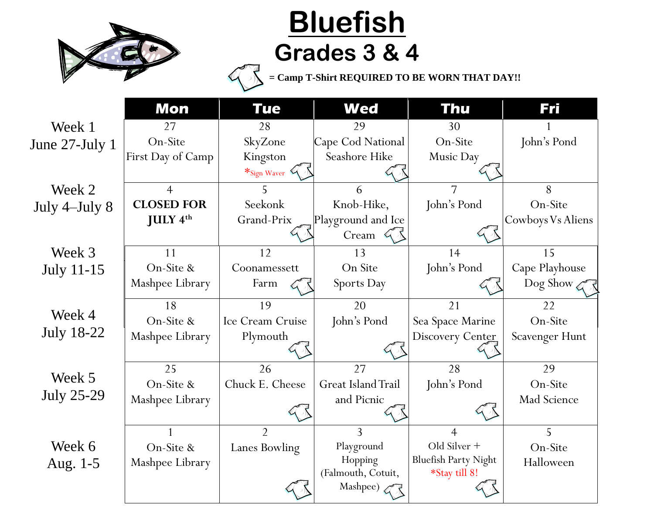

## **Bluefish Grades 3 & 4**

**= Camp T-Shirt REQUIRED TO BE WORN THAT DAY!!**

|                   | <b>Mon</b>                  | <b>Tue</b>         | <b>Wed</b>         | Thu                         | Fri                   |
|-------------------|-----------------------------|--------------------|--------------------|-----------------------------|-----------------------|
| Week 1            | 27                          | 28                 | 29                 | 30                          |                       |
| June 27-July 1    | On-Site                     | SkyZone            | Cape Cod National  | On-Site                     | John's Pond           |
|                   | First Day of Camp           | Kingston           | Seashore Hike      | Music Day                   |                       |
|                   |                             | $*_{Sign\,Waveer}$ |                    |                             |                       |
| Week 2            | $\overline{4}$              |                    | 6                  | 7                           | 8                     |
| July 4-July 8     | <b>CLOSED FOR</b>           | Seekonk            | Knob-Hike,         | John's Pond                 | On-Site               |
|                   | <b>JULY</b> $4^{\text{th}}$ | Grand-Prix         | Playground and Ice |                             | Cowboys Vs Aliens     |
|                   |                             |                    | Cream $\mathbb{Q}$ |                             |                       |
| Week 3            | 11                          | 12                 | 13                 | 14                          | 15                    |
| <b>July 11-15</b> | On-Site &                   | Coonamessett       | On Site            | John's Pond                 | Cape Playhouse        |
|                   | Mashpee Library             | Farm               | Sports Day         |                             | Dog Show $\mathbb{Z}$ |
|                   | 18                          | 19                 | 20                 | 21                          | 22                    |
| Week 4            | On-Site &                   | Ice Cream Cruise   | John's Pond        | Sea Space Marine            | On-Site               |
| <b>July 18-22</b> | Mashpee Library             | Plymouth           |                    | Discovery Center            | Scavenger Hunt        |
|                   |                             |                    |                    |                             |                       |
|                   | 25                          | 26                 | 27                 | 28                          | 29                    |
| Week 5            | On-Site &                   | Chuck E. Cheese    | Great Island Trail | John's Pond                 | On-Site               |
| <b>July 25-29</b> | Mashpee Library             |                    | and Picnic         |                             | Mad Science           |
|                   |                             |                    |                    |                             |                       |
|                   |                             | $\overline{2}$     | $\overline{3}$     | $\overline{4}$              | 5                     |
| Week 6            | On-Site &                   | Lanes Bowling      | Playground         | Old Silver +                | On-Site               |
| Aug. 1-5          | Mashpee Library             |                    | Hopping            | <b>Bluefish Party Night</b> | Halloween             |
|                   |                             |                    | (Falmouth, Cotuit, | *Stay till 8!               |                       |
|                   |                             |                    | Mashpee)           |                             |                       |